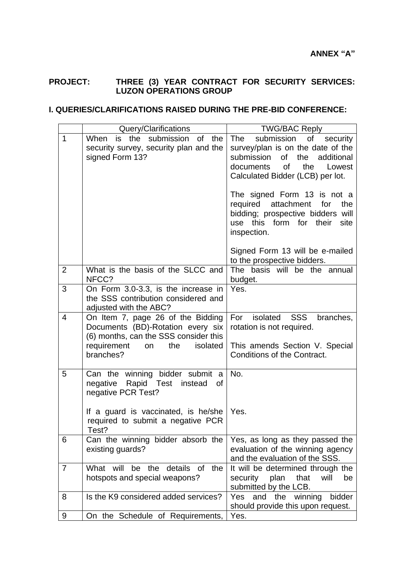## **PROJECT: THREE (3) YEAR CONTRACT FOR SECURITY SERVICES: LUZON OPERATIONS GROUP**

## **I. QUERIES/CLARIFICATIONS RAISED DURING THE PRE-BID CONFERENCE:**

|                | Query/Clarifications                                                                                                                                                               | <b>TWG/BAC Reply</b>                                                                                                                                                                                                                                                                                                                                                                              |
|----------------|------------------------------------------------------------------------------------------------------------------------------------------------------------------------------------|---------------------------------------------------------------------------------------------------------------------------------------------------------------------------------------------------------------------------------------------------------------------------------------------------------------------------------------------------------------------------------------------------|
| $\mathbf{1}$   | is the<br>submission<br><b>of</b><br>When<br>the<br>security survey, security plan and the<br>signed Form 13?                                                                      | The<br>submission<br>of<br>security<br>survey/plan is on the date of the<br>submission<br>of<br>the<br>additional<br><b>of</b><br>the<br>Lowest<br>documents<br>Calculated Bidder (LCB) per lot.<br>The signed Form 13 is not a<br>required<br>attachment<br>for<br>the<br>bidding; prospective bidders will<br>use this form for their<br>site<br>inspection.<br>Signed Form 13 will be e-mailed |
| 2              | What is the basis of the SLCC and<br>NFCC?                                                                                                                                         | to the prospective bidders.<br>The basis will be the annual<br>budget.                                                                                                                                                                                                                                                                                                                            |
| 3              | On Form 3.0-3.3, is the increase in<br>the SSS contribution considered and<br>adjusted with the ABC?                                                                               | Yes.                                                                                                                                                                                                                                                                                                                                                                                              |
| $\overline{4}$ | On Item 7, page 26 of the Bidding<br>Documents (BD)-Rotation every six<br>(6) months, can the SSS consider this<br>requirement<br>the<br>isolated<br>on<br>branches?               | For<br>isolated<br><b>SSS</b><br>branches,<br>rotation is not required.<br>This amends Section V. Special<br>Conditions of the Contract.                                                                                                                                                                                                                                                          |
| 5              | Can the winning bidder submit a<br>negative<br>Rapid Test instead<br>οf<br>negative PCR Test?<br>If a guard is vaccinated, is he/she<br>required to submit a negative PCR<br>Test? | No.<br>Yes.                                                                                                                                                                                                                                                                                                                                                                                       |
| 6              | Can the winning bidder absorb the<br>existing guards?                                                                                                                              | Yes, as long as they passed the<br>evaluation of the winning agency<br>and the evaluation of the SSS.                                                                                                                                                                                                                                                                                             |
| 7              | What will be<br>details<br>the<br>the<br><b>of</b><br>hotspots and special weapons?                                                                                                | It will be determined through the<br>that<br>security<br>plan<br>will<br>be<br>submitted by the LCB.                                                                                                                                                                                                                                                                                              |
| 8              | Is the K9 considered added services?                                                                                                                                               | and the winning<br><b>Yes</b><br>bidder<br>should provide this upon request.                                                                                                                                                                                                                                                                                                                      |
| 9              | On the Schedule of Requirements,                                                                                                                                                   | Yes.                                                                                                                                                                                                                                                                                                                                                                                              |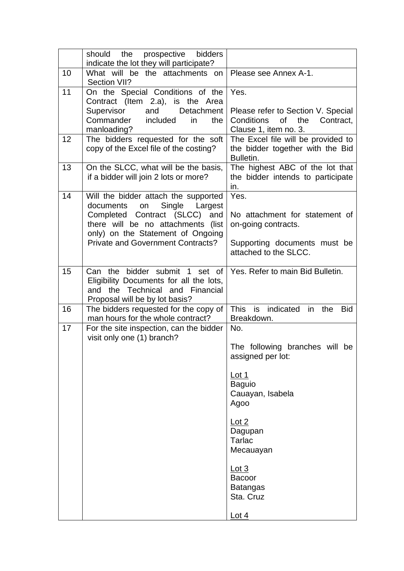|    | the prospective<br>should<br>bidders<br>indicate the lot they will participate?                                                                                                                                                   |                                                                                                                                                                                                                                                     |
|----|-----------------------------------------------------------------------------------------------------------------------------------------------------------------------------------------------------------------------------------|-----------------------------------------------------------------------------------------------------------------------------------------------------------------------------------------------------------------------------------------------------|
| 10 | What will be the attachments on<br>Section VII?                                                                                                                                                                                   | Please see Annex A-1.                                                                                                                                                                                                                               |
| 11 | On the Special Conditions of the<br>Contract (Item 2.a), is the Area<br>Detachment<br>Supervisor<br>and<br>Commander included<br>in<br>the<br>manloading?                                                                         | Yes.<br>Please refer to Section V. Special<br>the<br>Conditions<br>of<br>Contract,<br>Clause 1, item no. 3.                                                                                                                                         |
| 12 | The bidders requested for the soft<br>copy of the Excel file of the costing?                                                                                                                                                      | The Excel file will be provided to<br>the bidder together with the Bid<br>Bulletin.                                                                                                                                                                 |
| 13 | On the SLCC, what will be the basis,<br>if a bidder will join 2 lots or more?                                                                                                                                                     | The highest ABC of the lot that<br>the bidder intends to participate<br>in.                                                                                                                                                                         |
| 14 | Will the bidder attach the supported<br>Single Largest<br>documents<br>on<br>Completed Contract (SLCC) and<br>there will be no attachments (list<br>only) on the Statement of Ongoing<br><b>Private and Government Contracts?</b> | Yes.<br>No attachment for statement of<br>on-going contracts.<br>Supporting documents must be<br>attached to the SLCC.                                                                                                                              |
| 15 | Can the bidder submit 1 set of<br>Eligibility Documents for all the lots,<br>the Technical and Financial<br>and<br>Proposal will be by lot basis?                                                                                 | Yes. Refer to main Bid Bulletin.                                                                                                                                                                                                                    |
| 16 | The bidders requested for the copy of<br>man hours for the whole contract?                                                                                                                                                        | <b>This</b><br>is indicated<br>in<br><b>Bid</b><br>the<br>Breakdown.                                                                                                                                                                                |
| 17 | For the site inspection, can the bidder<br>visit only one (1) branch?                                                                                                                                                             | No.<br>The following branches will be<br>assigned per lot:<br><u>Lot 1</u><br><b>Baguio</b><br>Cauayan, Isabela<br>Agoo<br>Lot 2<br>Dagupan<br><b>Tarlac</b><br>Mecauayan<br><u>Lot 3</u><br><b>Bacoor</b><br><b>Batangas</b><br>Sta. Cruz<br>Lot 4 |